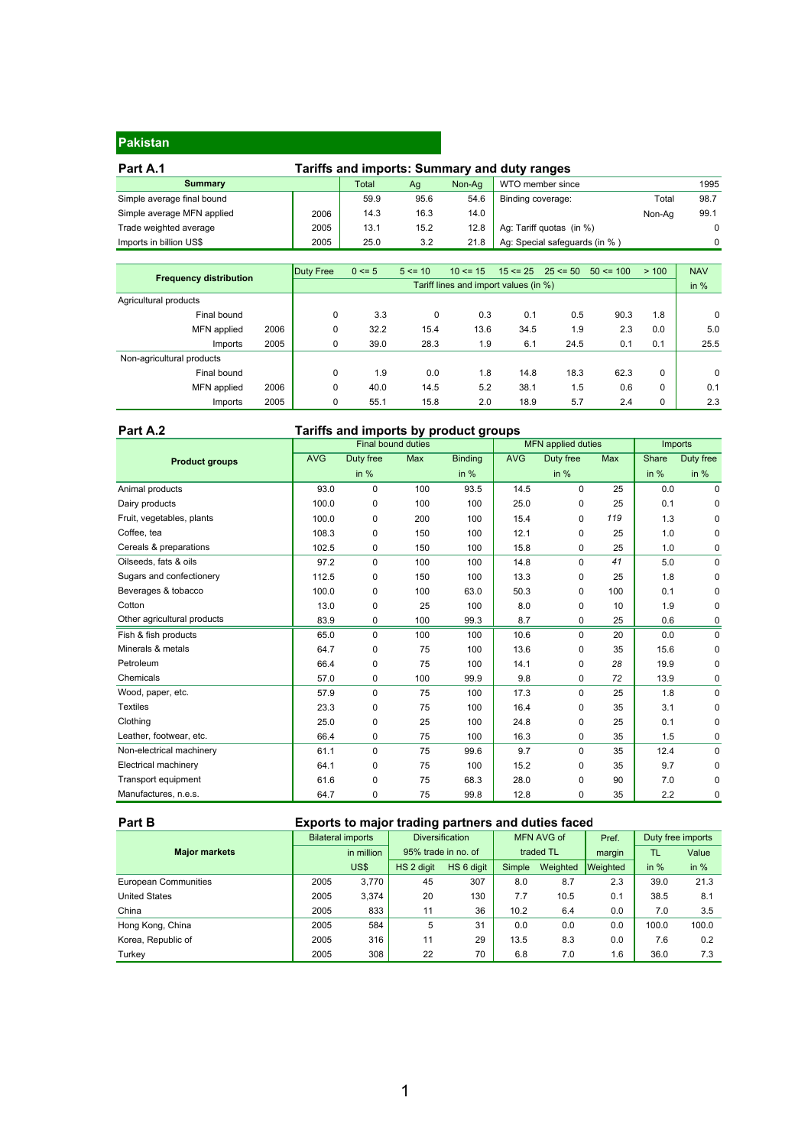#### **Pakistan**

| Part A.1                   | Tariffs and imports: Summary and duty ranges |       |      |        |                               |        |      |  |
|----------------------------|----------------------------------------------|-------|------|--------|-------------------------------|--------|------|--|
| <b>Summary</b>             |                                              | Total | Ag   | Non-Aa | WTO member since              |        | 1995 |  |
| Simple average final bound |                                              | 59.9  | 95.6 | 54.6   | Binding coverage:             | Total  | 98.7 |  |
| Simple average MFN applied | 2006                                         | 14.3  | 16.3 | 14.0   |                               | Non-Aa | 99.1 |  |
| Trade weighted average     | 2005                                         | 13.1  | 15.2 | 12.8   | Ag: Tariff quotas (in %)      |        |      |  |
| Imports in billion US\$    | 2005                                         | 25.0  | 3.2  | 21.8   | Ag: Special safeguards (in %) |        |      |  |

| <b>Frequency distribution</b> |      | <b>Duty Free</b> | $0 \le 5$                             | $5 \le 10$ | $10 \le 15$ |      | $15 \le 25$ 25 $\le 50$ | $50 \le 100$ | >100     | <b>NAV</b>  |
|-------------------------------|------|------------------|---------------------------------------|------------|-------------|------|-------------------------|--------------|----------|-------------|
|                               |      |                  | Tariff lines and import values (in %) |            |             |      |                         |              |          |             |
| Agricultural products         |      |                  |                                       |            |             |      |                         |              |          |             |
| Final bound                   |      | 0                | 3.3                                   | 0          | 0.3         | 0.1  | 0.5                     | 90.3         | 1.8      | $\mathbf 0$ |
| MFN applied                   | 2006 | 0                | 32.2                                  | 15.4       | 13.6        | 34.5 | 1.9                     | 2.3          | 0.0      | 5.0         |
| Imports                       | 2005 | 0                | 39.0                                  | 28.3       | 1.9         | 6.1  | 24.5                    | 0.1          | 0.1      | 25.5        |
| Non-agricultural products     |      |                  |                                       |            |             |      |                         |              |          |             |
| Final bound                   |      | 0                | 1.9                                   | 0.0        | 1.8         | 14.8 | 18.3                    | 62.3         | $\Omega$ | 0           |
| MFN applied                   | 2006 | $\Omega$         | 40.0                                  | 14.5       | 5.2         | 38.1 | 1.5                     | 0.6          | $\Omega$ | 0.1         |
| Imports                       | 2005 | $\Omega$         | 55.1                                  | 15.8       | 2.0         | 18.9 | 5.7                     | 2.4          | $\Omega$ | 2.3         |

#### **Part A.2 Tariffs and imports by product groups**

|                             |            |             | <b>Final bound duties</b> |                | <b>MFN</b> applied duties | Imports     |     |        |           |
|-----------------------------|------------|-------------|---------------------------|----------------|---------------------------|-------------|-----|--------|-----------|
| <b>Product groups</b>       | <b>AVG</b> | Duty free   | Max                       | <b>Binding</b> | <b>AVG</b>                | Duty free   | Max | Share  | Duty free |
|                             |            | in $%$      |                           | in $%$         |                           | in $%$      |     | in $%$ | in $%$    |
| Animal products             | 93.0       | 0           | 100                       | 93.5           | 14.5                      | 0           | 25  | 0.0    | 0         |
| Dairy products              | 100.0      | 0           | 100                       | 100            | 25.0                      | 0           | 25  | 0.1    | 0         |
| Fruit, vegetables, plants   | 100.0      | 0           | 200                       | 100            | 15.4                      | 0           | 119 | 1.3    | 0         |
| Coffee, tea                 | 108.3      | 0           | 150                       | 100            | 12.1                      | 0           | 25  | 1.0    | 0         |
| Cereals & preparations      | 102.5      | 0           | 150                       | 100            | 15.8                      | 0           | 25  | 1.0    | 0         |
| Oilseeds, fats & oils       | 97.2       | 0           | 100                       | 100            | 14.8                      | 0           | 41  | 5.0    | 0         |
| Sugars and confectionery    | 112.5      | 0           | 150                       | 100            | 13.3                      | $\mathbf 0$ | 25  | 1.8    | 0         |
| Beverages & tobacco         | 100.0      | 0           | 100                       | 63.0           | 50.3                      | 0           | 100 | 0.1    | 0         |
| Cotton                      | 13.0       | 0           | 25                        | 100            | 8.0                       | $\mathbf 0$ | 10  | 1.9    | 0         |
| Other agricultural products | 83.9       | 0           | 100                       | 99.3           | 8.7                       | 0           | 25  | 0.6    | 0         |
| Fish & fish products        | 65.0       | 0           | 100                       | 100            | 10.6                      | 0           | 20  | 0.0    | 0         |
| Minerals & metals           | 64.7       | 0           | 75                        | 100            | 13.6                      | 0           | 35  | 15.6   | 0         |
| Petroleum                   | 66.4       | 0           | 75                        | 100            | 14.1                      | $\mathbf 0$ | 28  | 19.9   | 0         |
| Chemicals                   | 57.0       | 0           | 100                       | 99.9           | 9.8                       | 0           | 72  | 13.9   | 0         |
| Wood, paper, etc.           | 57.9       | $\mathbf 0$ | 75                        | 100            | 17.3                      | 0           | 25  | 1.8    | 0         |
| <b>Textiles</b>             | 23.3       | 0           | 75                        | 100            | 16.4                      | 0           | 35  | 3.1    | 0         |
| Clothing                    | 25.0       | 0           | 25                        | 100            | 24.8                      | $\mathbf 0$ | 25  | 0.1    | 0         |
| Leather, footwear, etc.     | 66.4       | 0           | 75                        | 100            | 16.3                      | 0           | 35  | 1.5    | 0         |
| Non-electrical machinery    | 61.1       | $\mathbf 0$ | 75                        | 99.6           | 9.7                       | 0           | 35  | 12.4   | 0         |
| Electrical machinery        | 64.1       | 0           | 75                        | 100            | 15.2                      | 0           | 35  | 9.7    | 0         |
| Transport equipment         | 61.6       | 0           | 75                        | 68.3           | 28.0                      | 0           | 90  | 7.0    | 0         |
| Manufactures, n.e.s.        | 64.7       | 0           | 75                        | 99.8           | 12.8                      | 0           | 35  | 2.2    | 0         |

#### Part B **Exports to major trading partners and duties faced**

|                             | <b>Bilateral imports</b> |            | <b>Diversification</b> |            | MFN AVG of |          | Pref.           | Duty free imports |        |
|-----------------------------|--------------------------|------------|------------------------|------------|------------|----------|-----------------|-------------------|--------|
| <b>Major markets</b>        |                          | in million | 95% trade in no. of    |            | traded TL  |          | margin          | TL                | Value  |
|                             |                          | US\$       | HS 2 digit             | HS 6 digit | Simple     | Weighted | <b>Weighted</b> | in $%$            | in $%$ |
| <b>European Communities</b> | 2005                     | 3.770      | 45                     | 307        | 8.0        | 8.7      | 2.3             | 39.0              | 21.3   |
| <b>United States</b>        | 2005                     | 3.374      | 20                     | 130        | 7.7        | 10.5     | 0.1             | 38.5              | 8.1    |
| China                       | 2005                     | 833        | 11                     | 36         | 10.2       | 6.4      | 0.0             | 7.0               | 3.5    |
| Hong Kong, China            | 2005                     | 584        | 5                      | 31         | 0.0        | 0.0      | 0.0             | 100.0             | 100.0  |
| Korea, Republic of          | 2005                     | 316        | 11                     | 29         | 13.5       | 8.3      | 0.0             | 7.6               | 0.2    |
| Turkey                      | 2005                     | 308        | 22                     | 70         | 6.8        | 7.0      | 1.6             | 36.0              | 7.3    |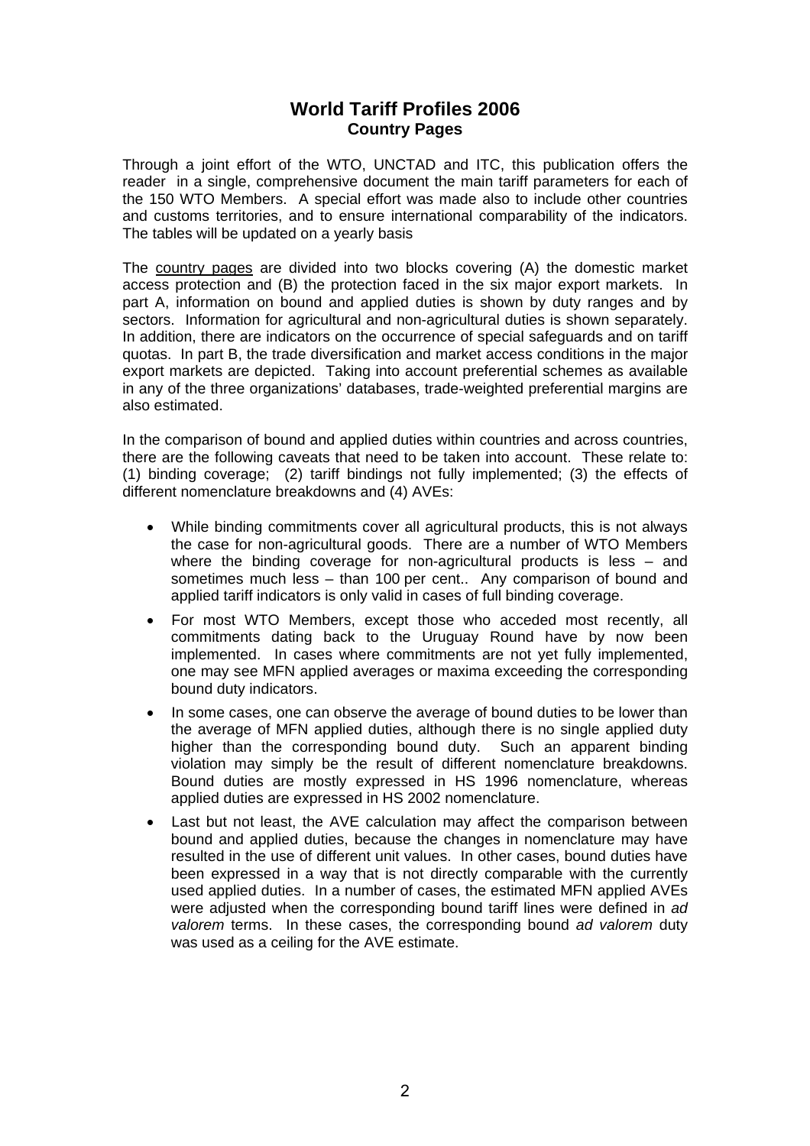## **World Tariff Profiles 2006 Country Pages**

Through a joint effort of the WTO, UNCTAD and ITC, this publication offers the reader in a single, comprehensive document the main tariff parameters for each of the 150 WTO Members. A special effort was made also to include other countries and customs territories, and to ensure international comparability of the indicators. The tables will be updated on a yearly basis

The country pages are divided into two blocks covering (A) the domestic market access protection and (B) the protection faced in the six major export markets. In part A, information on bound and applied duties is shown by duty ranges and by sectors. Information for agricultural and non-agricultural duties is shown separately. In addition, there are indicators on the occurrence of special safeguards and on tariff quotas. In part B, the trade diversification and market access conditions in the major export markets are depicted. Taking into account preferential schemes as available in any of the three organizations' databases, trade-weighted preferential margins are also estimated.

In the comparison of bound and applied duties within countries and across countries, there are the following caveats that need to be taken into account. These relate to: (1) binding coverage; (2) tariff bindings not fully implemented; (3) the effects of different nomenclature breakdowns and (4) AVEs:

- While binding commitments cover all agricultural products, this is not always the case for non-agricultural goods. There are a number of WTO Members where the binding coverage for non-agricultural products is less – and sometimes much less – than 100 per cent.. Any comparison of bound and applied tariff indicators is only valid in cases of full binding coverage.
- For most WTO Members, except those who acceded most recently, all commitments dating back to the Uruguay Round have by now been implemented. In cases where commitments are not yet fully implemented, one may see MFN applied averages or maxima exceeding the corresponding bound duty indicators.
- In some cases, one can observe the average of bound duties to be lower than the average of MFN applied duties, although there is no single applied duty higher than the corresponding bound duty. Such an apparent binding violation may simply be the result of different nomenclature breakdowns. Bound duties are mostly expressed in HS 1996 nomenclature, whereas applied duties are expressed in HS 2002 nomenclature.
- Last but not least, the AVE calculation may affect the comparison between bound and applied duties, because the changes in nomenclature may have resulted in the use of different unit values. In other cases, bound duties have been expressed in a way that is not directly comparable with the currently used applied duties. In a number of cases, the estimated MFN applied AVEs were adjusted when the corresponding bound tariff lines were defined in *ad valorem* terms. In these cases, the corresponding bound *ad valorem* duty was used as a ceiling for the AVE estimate.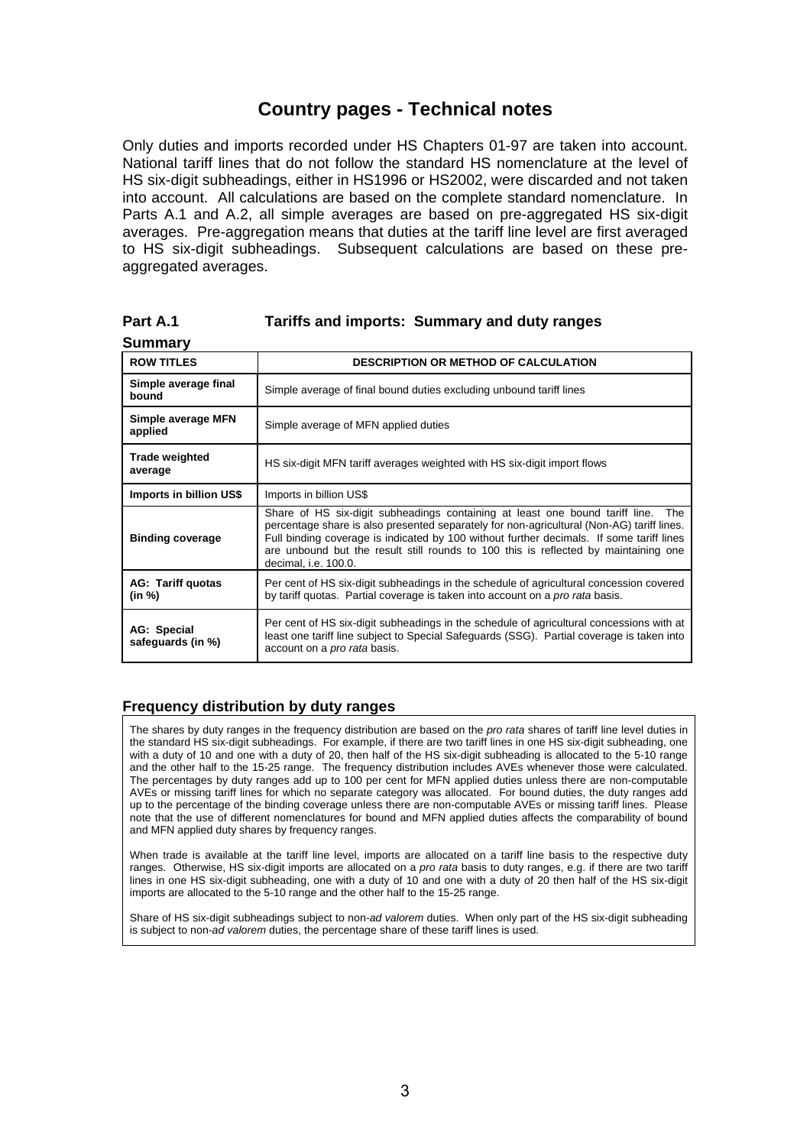# **Country pages - Technical notes**

Only duties and imports recorded under HS Chapters 01-97 are taken into account. National tariff lines that do not follow the standard HS nomenclature at the level of HS six-digit subheadings, either in HS1996 or HS2002, were discarded and not taken into account. All calculations are based on the complete standard nomenclature. In Parts A.1 and A.2, all simple averages are based on pre-aggregated HS six-digit averages. Pre-aggregation means that duties at the tariff line level are first averaged to HS six-digit subheadings. Subsequent calculations are based on these preaggregated averages.

| <b>Summary</b>                     |                                                                                                                                                                                                                                                                                                                                                                                          |
|------------------------------------|------------------------------------------------------------------------------------------------------------------------------------------------------------------------------------------------------------------------------------------------------------------------------------------------------------------------------------------------------------------------------------------|
| <b>ROW TITLES</b>                  | <b>DESCRIPTION OR METHOD OF CALCULATION</b>                                                                                                                                                                                                                                                                                                                                              |
| Simple average final<br>bound      | Simple average of final bound duties excluding unbound tariff lines                                                                                                                                                                                                                                                                                                                      |
| Simple average MFN<br>applied      | Simple average of MFN applied duties                                                                                                                                                                                                                                                                                                                                                     |
| <b>Trade weighted</b><br>average   | HS six-digit MFN tariff averages weighted with HS six-digit import flows                                                                                                                                                                                                                                                                                                                 |
| Imports in billion US\$            | Imports in billion US\$                                                                                                                                                                                                                                                                                                                                                                  |
| <b>Binding coverage</b>            | Share of HS six-digit subheadings containing at least one bound tariff line. The<br>percentage share is also presented separately for non-agricultural (Non-AG) tariff lines.<br>Full binding coverage is indicated by 100 without further decimals. If some tariff lines<br>are unbound but the result still rounds to 100 this is reflected by maintaining one<br>decimal, i.e. 100.0. |
| <b>AG: Tariff quotas</b><br>(in %) | Per cent of HS six-digit subheadings in the schedule of agricultural concession covered<br>by tariff quotas. Partial coverage is taken into account on a <i>pro rata</i> basis.                                                                                                                                                                                                          |
| AG: Special<br>safeguards (in %)   | Per cent of HS six-digit subheadings in the schedule of agricultural concessions with at<br>least one tariff line subject to Special Safeguards (SSG). Partial coverage is taken into<br>account on a <i>pro rata</i> basis.                                                                                                                                                             |

### **Part A.1 Tariffs and imports: Summary and duty ranges**

### **Frequency distribution by duty ranges**

The shares by duty ranges in the frequency distribution are based on the *pro rata* shares of tariff line level duties in the standard HS six-digit subheadings. For example, if there are two tariff lines in one HS six-digit subheading, one with a duty of 10 and one with a duty of 20, then half of the HS six-digit subheading is allocated to the 5-10 range and the other half to the 15-25 range. The frequency distribution includes AVEs whenever those were calculated. The percentages by duty ranges add up to 100 per cent for MFN applied duties unless there are non-computable AVEs or missing tariff lines for which no separate category was allocated. For bound duties, the duty ranges add up to the percentage of the binding coverage unless there are non-computable AVEs or missing tariff lines. Please note that the use of different nomenclatures for bound and MFN applied duties affects the comparability of bound and MFN applied duty shares by frequency ranges.

When trade is available at the tariff line level, imports are allocated on a tariff line basis to the respective duty ranges. Otherwise, HS six-digit imports are allocated on a *pro rata* basis to duty ranges, e.g. if there are two tariff lines in one HS six-digit subheading, one with a duty of 10 and one with a duty of 20 then half of the HS six-digit imports are allocated to the 5-10 range and the other half to the 15-25 range.

Share of HS six-digit subheadings subject to non*-ad valorem* duties. When only part of the HS six-digit subheading is subject to non*-ad valorem* duties, the percentage share of these tariff lines is used.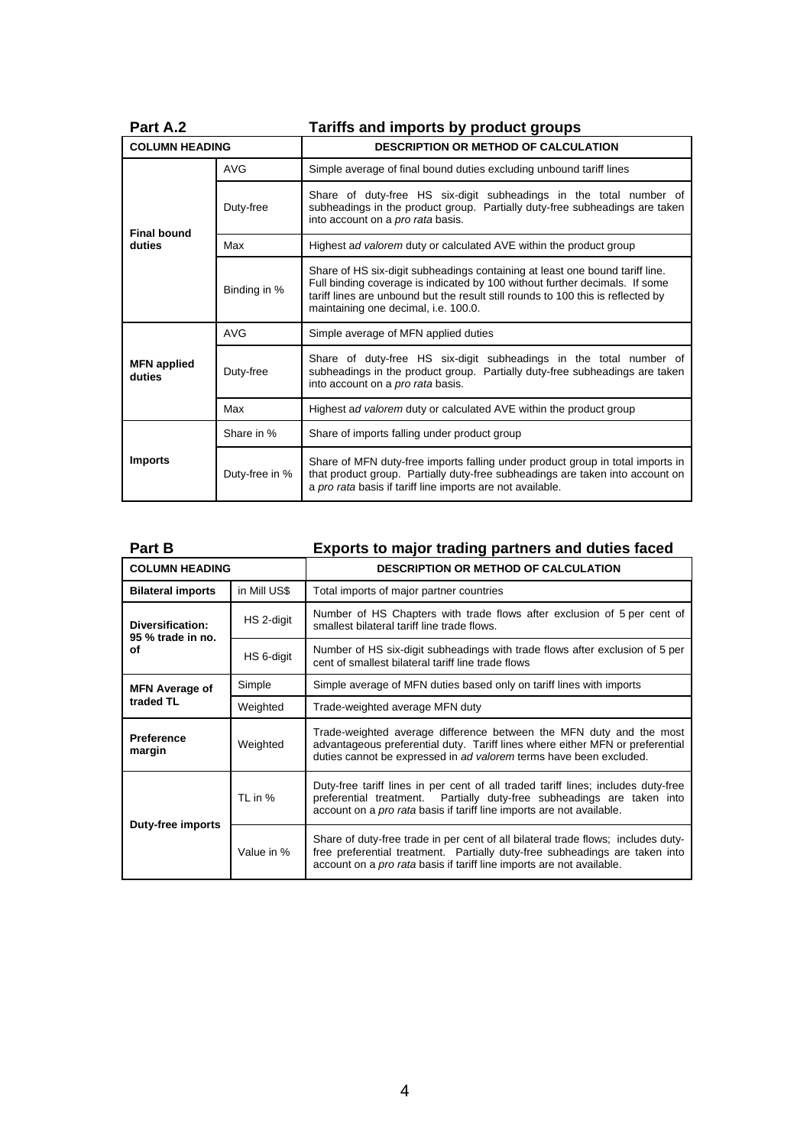| Part A.2                     |                | Tariffs and imports by product groups                                                                                                                                                                                                                                                   |  |  |  |  |  |
|------------------------------|----------------|-----------------------------------------------------------------------------------------------------------------------------------------------------------------------------------------------------------------------------------------------------------------------------------------|--|--|--|--|--|
| <b>COLUMN HEADING</b>        |                | <b>DESCRIPTION OR METHOD OF CALCULATION</b>                                                                                                                                                                                                                                             |  |  |  |  |  |
|                              | <b>AVG</b>     | Simple average of final bound duties excluding unbound tariff lines                                                                                                                                                                                                                     |  |  |  |  |  |
| <b>Final bound</b><br>duties | Duty-free      | Share of duty-free HS six-digit subheadings in the total number of<br>subheadings in the product group. Partially duty-free subheadings are taken<br>into account on a <i>pro rata</i> basis.                                                                                           |  |  |  |  |  |
|                              | Max            | Highest ad valorem duty or calculated AVE within the product group                                                                                                                                                                                                                      |  |  |  |  |  |
|                              | Binding in %   | Share of HS six-digit subheadings containing at least one bound tariff line.<br>Full binding coverage is indicated by 100 without further decimals. If some<br>tariff lines are unbound but the result still rounds to 100 this is reflected by<br>maintaining one decimal, i.e. 100.0. |  |  |  |  |  |
|                              | <b>AVG</b>     | Simple average of MFN applied duties                                                                                                                                                                                                                                                    |  |  |  |  |  |
| <b>MFN</b> applied<br>duties | Duty-free      | Share of duty-free HS six-digit subheadings in the total number of<br>subheadings in the product group. Partially duty-free subheadings are taken<br>into account on a <i>pro rata</i> basis.                                                                                           |  |  |  |  |  |
|                              | Max            | Highest ad valorem duty or calculated AVE within the product group                                                                                                                                                                                                                      |  |  |  |  |  |
| <b>Imports</b>               | Share in %     | Share of imports falling under product group                                                                                                                                                                                                                                            |  |  |  |  |  |
|                              | Duty-free in % | Share of MFN duty-free imports falling under product group in total imports in<br>that product group. Partially duty-free subheadings are taken into account on<br>a pro rata basis if tariff line imports are not available.                                                           |  |  |  |  |  |

| Part B                                      |              | Exports to major trading partners and duties faced                                                                                                                                                                                        |  |  |  |  |  |
|---------------------------------------------|--------------|-------------------------------------------------------------------------------------------------------------------------------------------------------------------------------------------------------------------------------------------|--|--|--|--|--|
| <b>COLUMN HEADING</b>                       |              | <b>DESCRIPTION OR METHOD OF CALCULATION</b>                                                                                                                                                                                               |  |  |  |  |  |
| <b>Bilateral imports</b>                    | in Mill US\$ | Total imports of major partner countries                                                                                                                                                                                                  |  |  |  |  |  |
| Diversification:<br>95 % trade in no.<br>οf | HS 2-digit   | Number of HS Chapters with trade flows after exclusion of 5 per cent of<br>smallest bilateral tariff line trade flows.                                                                                                                    |  |  |  |  |  |
|                                             | HS 6-digit   | Number of HS six-digit subheadings with trade flows after exclusion of 5 per<br>cent of smallest bilateral tariff line trade flows                                                                                                        |  |  |  |  |  |
| <b>MFN Average of</b><br>traded TL          | Simple       | Simple average of MFN duties based only on tariff lines with imports                                                                                                                                                                      |  |  |  |  |  |
|                                             | Weighted     | Trade-weighted average MFN duty                                                                                                                                                                                                           |  |  |  |  |  |
| <b>Preference</b><br>margin                 | Weighted     | Trade-weighted average difference between the MFN duty and the most<br>advantageous preferential duty. Tariff lines where either MFN or preferential<br>duties cannot be expressed in ad valorem terms have been excluded.                |  |  |  |  |  |
| Duty-free imports                           | TL in %      | Duty-free tariff lines in per cent of all traded tariff lines; includes duty-free<br>preferential treatment. Partially duty-free subheadings are taken into<br>account on a pro rata basis if tariff line imports are not available.      |  |  |  |  |  |
|                                             | Value in %   | Share of duty-free trade in per cent of all bilateral trade flows; includes duty-<br>free preferential treatment. Partially duty-free subheadings are taken into<br>account on a pro rata basis if tariff line imports are not available. |  |  |  |  |  |